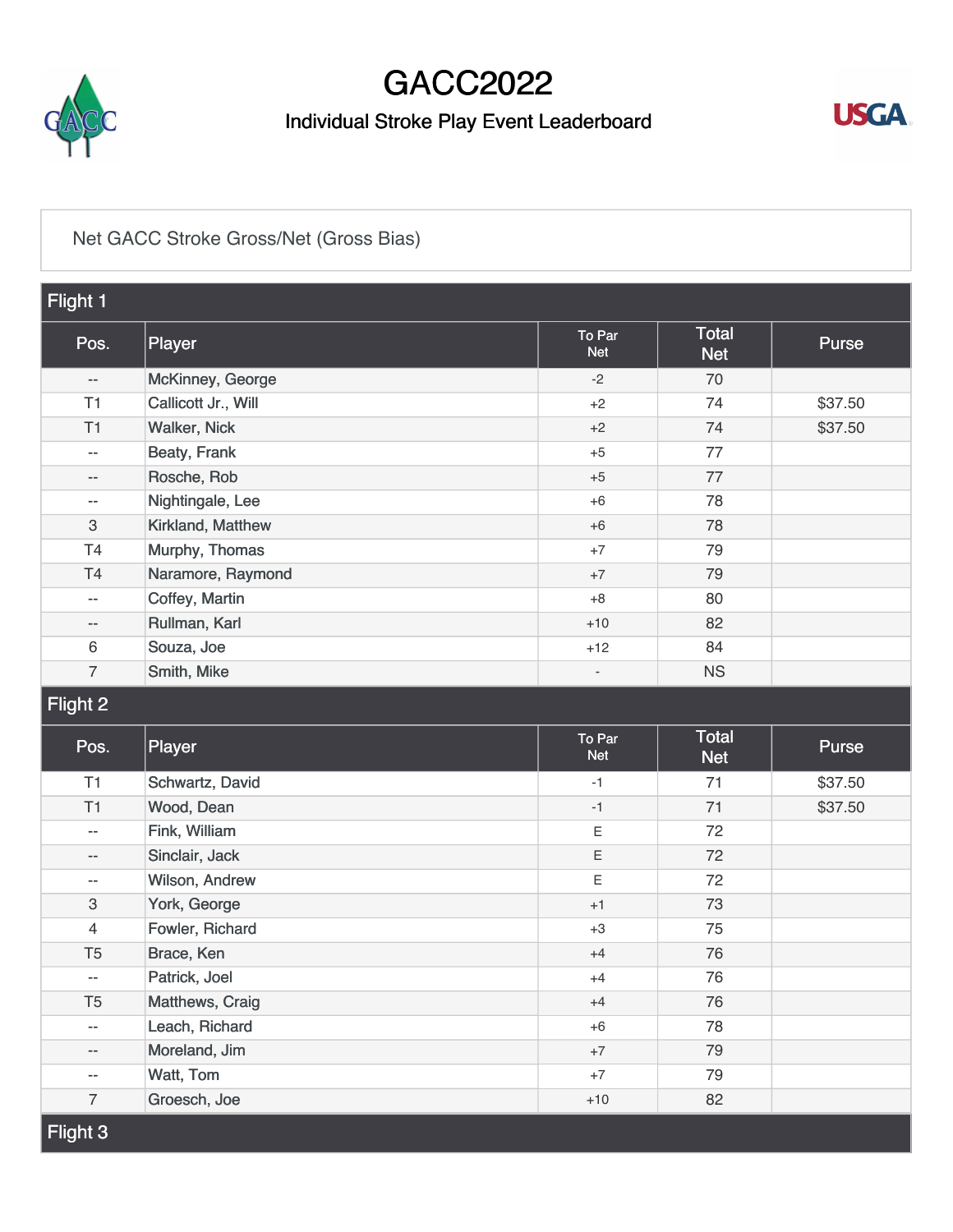

## GACC2022

### Individual Stroke Play Event Leaderboard



#### [Net GACC Stroke Gross/Net \(Gross Bias\)](https://static.golfgenius.com/v2tournaments/8346616569576599802?called_from=&round_index=3)

| Flight 1                  |                     |                          |                            |              |  |
|---------------------------|---------------------|--------------------------|----------------------------|--------------|--|
| Pos.                      | Player              | To Par<br><b>Net</b>     | Total<br><b>Net</b>        | Purse        |  |
| $-\, -$                   | McKinney, George    | $-2$                     | 70                         |              |  |
| T1                        | Callicott Jr., Will | $+2$                     | 74                         | \$37.50      |  |
| T1                        | <b>Walker, Nick</b> | $+2$                     | 74                         | \$37.50      |  |
| $\overline{\phantom{m}}$  | Beaty, Frank        | $+5$                     | 77                         |              |  |
| $\overline{\phantom{m}}$  | Rosche, Rob         | $+5$                     | 77                         |              |  |
| $\sim$                    | Nightingale, Lee    | $+6$                     | 78                         |              |  |
| $\ensuremath{\mathsf{3}}$ | Kirkland, Matthew   | $+6$                     | 78                         |              |  |
| T4                        | Murphy, Thomas      | $+7$                     | 79                         |              |  |
| T <sub>4</sub>            | Naramore, Raymond   | $+7$                     | 79                         |              |  |
| $\sim$ $-$                | Coffey, Martin      | $+8$                     | 80                         |              |  |
| $\overline{\phantom{m}}$  | Rullman, Karl       | $+10$                    | 82                         |              |  |
| $\,6$                     | Souza, Joe          | $+12$                    | 84                         |              |  |
| $\overline{7}$            | Smith, Mike         | $\overline{\phantom{a}}$ | <b>NS</b>                  |              |  |
| Flight 2                  |                     |                          |                            |              |  |
|                           |                     |                          |                            |              |  |
| Pos.                      | Player              | To Par<br><b>Net</b>     | <b>Total</b><br><b>Net</b> | <b>Purse</b> |  |
| T1                        | Schwartz, David     | $-1$                     | 71                         | \$37.50      |  |
| T1                        | Wood, Dean          | $-1$                     | 71                         | \$37.50      |  |
| $\sim$                    | Fink, William       | Ε                        | 72                         |              |  |
| $\overline{\phantom{a}}$  | Sinclair, Jack      | Ε                        | 72                         |              |  |
| $\sim$                    | Wilson, Andrew      | Ε                        | 72                         |              |  |
| $\ensuremath{\mathsf{3}}$ | York, George        | $+1$                     | 73                         |              |  |
| $\overline{4}$            | Fowler, Richard     | $+3$                     | 75                         |              |  |
| T <sub>5</sub>            | Brace, Ken          | $+4$                     | 76                         |              |  |
| $\overline{\phantom{a}}$  | Patrick, Joel       | $+4$                     | 76                         |              |  |
| T <sub>5</sub>            | Matthews, Craig     | $+4$                     | 76                         |              |  |
| $\overline{\phantom{m}}$  | Leach, Richard      | $+6$                     | 78                         |              |  |
| $\overline{\phantom{m}}$  | Moreland, Jim       | $+7$                     | 79                         |              |  |
| --                        | Watt, Tom           | $+7$                     | 79                         |              |  |
| $\overline{7}$            | Groesch, Joe        | $+10$                    | 82                         |              |  |